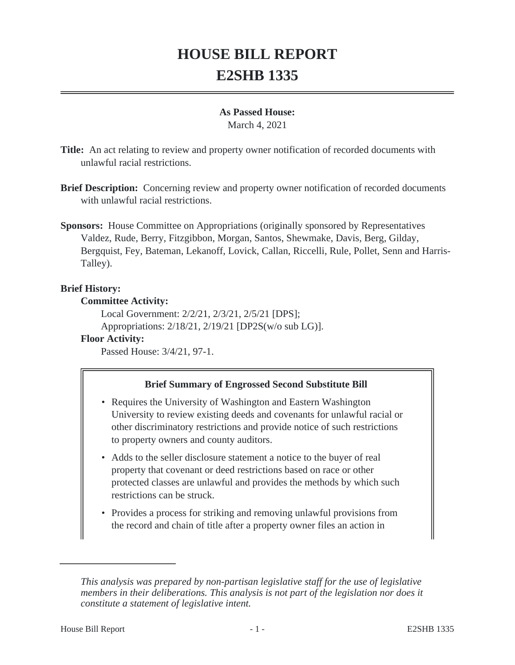# **HOUSE BILL REPORT E2SHB 1335**

#### **As Passed House:**

March 4, 2021

**Title:** An act relating to review and property owner notification of recorded documents with unlawful racial restrictions.

- **Brief Description:** Concerning review and property owner notification of recorded documents with unlawful racial restrictions.
- **Sponsors:** House Committee on Appropriations (originally sponsored by Representatives Valdez, Rude, Berry, Fitzgibbon, Morgan, Santos, Shewmake, Davis, Berg, Gilday, Bergquist, Fey, Bateman, Lekanoff, Lovick, Callan, Riccelli, Rule, Pollet, Senn and Harris-Talley).

# **Brief History:**

## **Committee Activity:**

Local Government: 2/2/21, 2/3/21, 2/5/21 [DPS]; Appropriations: 2/18/21, 2/19/21 [DP2S(w/o sub LG)].

## **Floor Activity:**

Passed House: 3/4/21, 97-1.

# **Brief Summary of Engrossed Second Substitute Bill**

- Requires the University of Washington and Eastern Washington University to review existing deeds and covenants for unlawful racial or other discriminatory restrictions and provide notice of such restrictions to property owners and county auditors.
- Adds to the seller disclosure statement a notice to the buyer of real property that covenant or deed restrictions based on race or other protected classes are unlawful and provides the methods by which such restrictions can be struck.
- Provides a process for striking and removing unlawful provisions from the record and chain of title after a property owner files an action in

*This analysis was prepared by non-partisan legislative staff for the use of legislative members in their deliberations. This analysis is not part of the legislation nor does it constitute a statement of legislative intent.*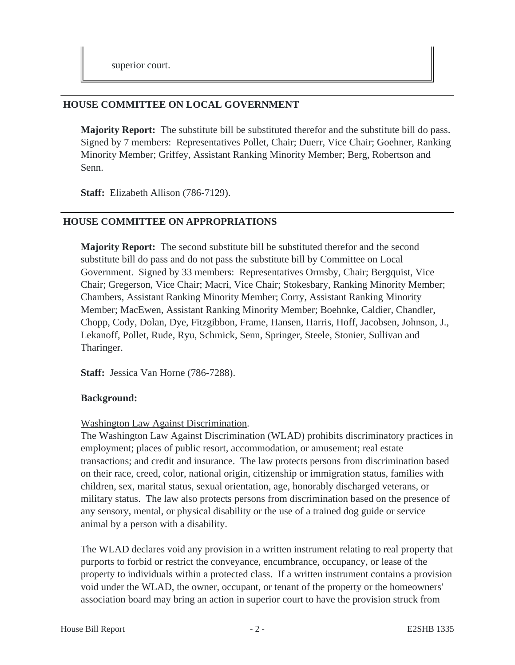## **HOUSE COMMITTEE ON LOCAL GOVERNMENT**

**Majority Report:** The substitute bill be substituted therefor and the substitute bill do pass. Signed by 7 members: Representatives Pollet, Chair; Duerr, Vice Chair; Goehner, Ranking Minority Member; Griffey, Assistant Ranking Minority Member; Berg, Robertson and Senn.

**Staff:** Elizabeth Allison (786-7129).

# **HOUSE COMMITTEE ON APPROPRIATIONS**

**Majority Report:** The second substitute bill be substituted therefor and the second substitute bill do pass and do not pass the substitute bill by Committee on Local Government. Signed by 33 members: Representatives Ormsby, Chair; Bergquist, Vice Chair; Gregerson, Vice Chair; Macri, Vice Chair; Stokesbary, Ranking Minority Member; Chambers, Assistant Ranking Minority Member; Corry, Assistant Ranking Minority Member; MacEwen, Assistant Ranking Minority Member; Boehnke, Caldier, Chandler, Chopp, Cody, Dolan, Dye, Fitzgibbon, Frame, Hansen, Harris, Hoff, Jacobsen, Johnson, J., Lekanoff, Pollet, Rude, Ryu, Schmick, Senn, Springer, Steele, Stonier, Sullivan and Tharinger.

**Staff:** Jessica Van Horne (786-7288).

## **Background:**

## Washington Law Against Discrimination.

The Washington Law Against Discrimination (WLAD) prohibits discriminatory practices in employment; places of public resort, accommodation, or amusement; real estate transactions; and credit and insurance. The law protects persons from discrimination based on their race, creed, color, national origin, citizenship or immigration status, families with children, sex, marital status, sexual orientation, age, honorably discharged veterans, or military status. The law also protects persons from discrimination based on the presence of any sensory, mental, or physical disability or the use of a trained dog guide or service animal by a person with a disability.

The WLAD declares void any provision in a written instrument relating to real property that purports to forbid or restrict the conveyance, encumbrance, occupancy, or lease of the property to individuals within a protected class. If a written instrument contains a provision void under the WLAD, the owner, occupant, or tenant of the property or the homeowners' association board may bring an action in superior court to have the provision struck from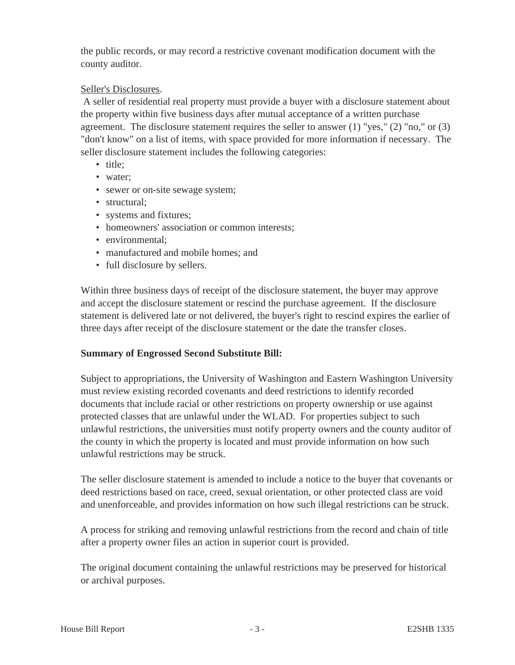the public records, or may record a restrictive covenant modification document with the county auditor.

# Seller's Disclosures.

 A seller of residential real property must provide a buyer with a disclosure statement about the property within five business days after mutual acceptance of a written purchase agreement. The disclosure statement requires the seller to answer (1) "yes," (2) "no," or (3) "don't know" on a list of items, with space provided for more information if necessary. The seller disclosure statement includes the following categories:

- title;
- water;
- sewer or on-site sewage system;
- structural;
- systems and fixtures;
- homeowners' association or common interests:
- environmental:
- manufactured and mobile homes; and
- full disclosure by sellers.

Within three business days of receipt of the disclosure statement, the buyer may approve and accept the disclosure statement or rescind the purchase agreement. If the disclosure statement is delivered late or not delivered, the buyer's right to rescind expires the earlier of three days after receipt of the disclosure statement or the date the transfer closes.

#### **Summary of Engrossed Second Substitute Bill:**

Subject to appropriations, the University of Washington and Eastern Washington University must review existing recorded covenants and deed restrictions to identify recorded documents that include racial or other restrictions on property ownership or use against protected classes that are unlawful under the WLAD. For properties subject to such unlawful restrictions, the universities must notify property owners and the county auditor of the county in which the property is located and must provide information on how such unlawful restrictions may be struck.

The seller disclosure statement is amended to include a notice to the buyer that covenants or deed restrictions based on race, creed, sexual orientation, or other protected class are void and unenforceable, and provides information on how such illegal restrictions can be struck.

A process for striking and removing unlawful restrictions from the record and chain of title after a property owner files an action in superior court is provided.

The original document containing the unlawful restrictions may be preserved for historical or archival purposes.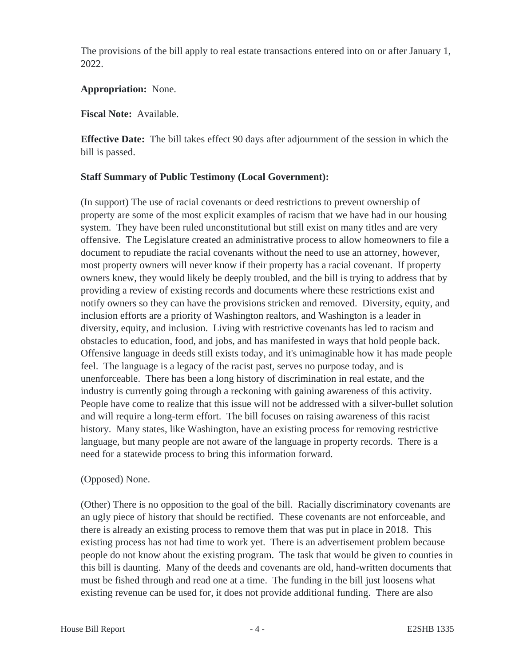The provisions of the bill apply to real estate transactions entered into on or after January 1, 2022.

#### **Appropriation:** None.

#### **Fiscal Note:** Available.

**Effective Date:** The bill takes effect 90 days after adjournment of the session in which the bill is passed.

## **Staff Summary of Public Testimony (Local Government):**

(In support) The use of racial covenants or deed restrictions to prevent ownership of property are some of the most explicit examples of racism that we have had in our housing system. They have been ruled unconstitutional but still exist on many titles and are very offensive. The Legislature created an administrative process to allow homeowners to file a document to repudiate the racial covenants without the need to use an attorney, however, most property owners will never know if their property has a racial covenant. If property owners knew, they would likely be deeply troubled, and the bill is trying to address that by providing a review of existing records and documents where these restrictions exist and notify owners so they can have the provisions stricken and removed. Diversity, equity, and inclusion efforts are a priority of Washington realtors, and Washington is a leader in diversity, equity, and inclusion. Living with restrictive covenants has led to racism and obstacles to education, food, and jobs, and has manifested in ways that hold people back. Offensive language in deeds still exists today, and it's unimaginable how it has made people feel. The language is a legacy of the racist past, serves no purpose today, and is unenforceable. There has been a long history of discrimination in real estate, and the industry is currently going through a reckoning with gaining awareness of this activity. People have come to realize that this issue will not be addressed with a silver-bullet solution and will require a long-term effort. The bill focuses on raising awareness of this racist history. Many states, like Washington, have an existing process for removing restrictive language, but many people are not aware of the language in property records. There is a need for a statewide process to bring this information forward.

## (Opposed) None.

(Other) There is no opposition to the goal of the bill. Racially discriminatory covenants are an ugly piece of history that should be rectified. These covenants are not enforceable, and there is already an existing process to remove them that was put in place in 2018. This existing process has not had time to work yet. There is an advertisement problem because people do not know about the existing program. The task that would be given to counties in this bill is daunting. Many of the deeds and covenants are old, hand-written documents that must be fished through and read one at a time. The funding in the bill just loosens what existing revenue can be used for, it does not provide additional funding. There are also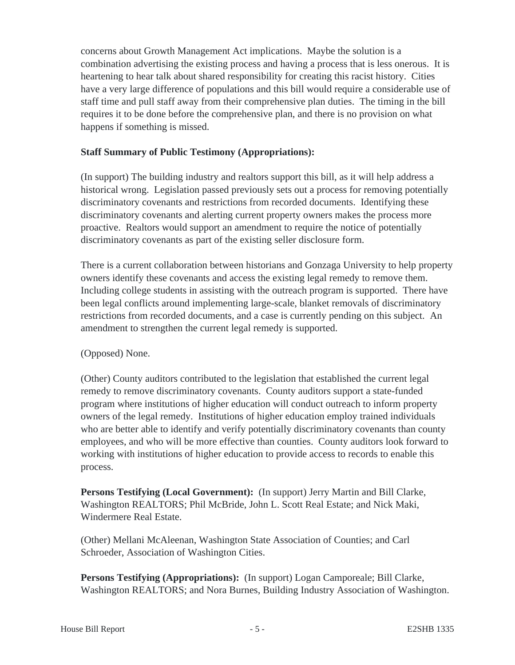concerns about Growth Management Act implications. Maybe the solution is a combination advertising the existing process and having a process that is less onerous. It is heartening to hear talk about shared responsibility for creating this racist history. Cities have a very large difference of populations and this bill would require a considerable use of staff time and pull staff away from their comprehensive plan duties. The timing in the bill requires it to be done before the comprehensive plan, and there is no provision on what happens if something is missed.

## **Staff Summary of Public Testimony (Appropriations):**

(In support) The building industry and realtors support this bill, as it will help address a historical wrong. Legislation passed previously sets out a process for removing potentially discriminatory covenants and restrictions from recorded documents. Identifying these discriminatory covenants and alerting current property owners makes the process more proactive. Realtors would support an amendment to require the notice of potentially discriminatory covenants as part of the existing seller disclosure form.

There is a current collaboration between historians and Gonzaga University to help property owners identify these covenants and access the existing legal remedy to remove them. Including college students in assisting with the outreach program is supported. There have been legal conflicts around implementing large-scale, blanket removals of discriminatory restrictions from recorded documents, and a case is currently pending on this subject. An amendment to strengthen the current legal remedy is supported.

## (Opposed) None.

(Other) County auditors contributed to the legislation that established the current legal remedy to remove discriminatory covenants. County auditors support a state-funded program where institutions of higher education will conduct outreach to inform property owners of the legal remedy. Institutions of higher education employ trained individuals who are better able to identify and verify potentially discriminatory covenants than county employees, and who will be more effective than counties. County auditors look forward to working with institutions of higher education to provide access to records to enable this process.

**Persons Testifying (Local Government):** (In support) Jerry Martin and Bill Clarke, Washington REALTORS; Phil McBride, John L. Scott Real Estate; and Nick Maki, Windermere Real Estate.

(Other) Mellani McAleenan, Washington State Association of Counties; and Carl Schroeder, Association of Washington Cities.

**Persons Testifying (Appropriations):** (In support) Logan Camporeale; Bill Clarke, Washington REALTORS; and Nora Burnes, Building Industry Association of Washington.